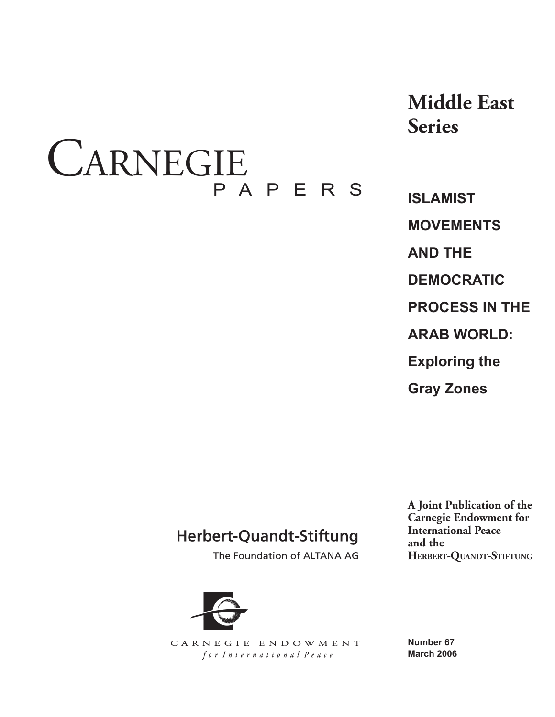# CARNEGIE PAPERS

**Middle East Series**

**ISLAMIST MOVEMENTS AND THE DEMOCRATIC PROCESS IN THE ARAB WORLD: Exploring the Gray Zones**

# Herbert-Quandt-Stiftung

The Foundation of ALTANA AG

**A Joint Publication of the Carnegie Endowment for International Peace and the HERBERT-QUANDT-STIFTUNG**



CARNEGIE ENDOWMENT for International Peace

**Number 67 March 2006**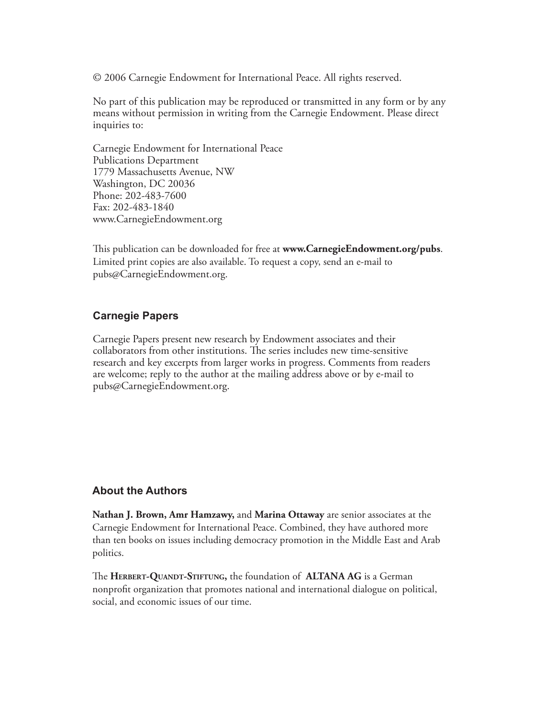© 2006 Carnegie Endowment for International Peace. All rights reserved.

No part of this publication may be reproduced or transmitted in any form or by any means without permission in writing from the Carnegie Endowment. Please direct inquiries to:

Carnegie Endowment for International Peace Publications Department 1779 Massachusetts Avenue, NW Washington, DC 20036 Phone: 202-483-7600 Fax: 202-483-1840 www.CarnegieEndowment.org

This publication can be downloaded for free at **www.CarnegieEndowment.org/pubs**. Limited print copies are also available. To request a copy, send an e-mail to pubs@CarnegieEndowment.org.

# **Carnegie Papers**

Carnegie Papers present new research by Endowment associates and their collaborators from other institutions. The series includes new time-sensitive research and key excerpts from larger works in progress. Comments from readers are welcome; reply to the author at the mailing address above or by e-mail to pubs@CarnegieEndowment.org.

# **About the Authors**

**Nathan J. Brown, Amr Hamzawy,** and **Marina Ottaway** are senior associates at the Carnegie Endowment for International Peace. Combined, they have authored more than ten books on issues including democracy promotion in the Middle East and Arab politics.

The HERBERT-QUANDT-STIFTUNG, the foundation of **ALTANA AG** is a German nonprofit organization that promotes national and international dialogue on political, social, and economic issues of our time.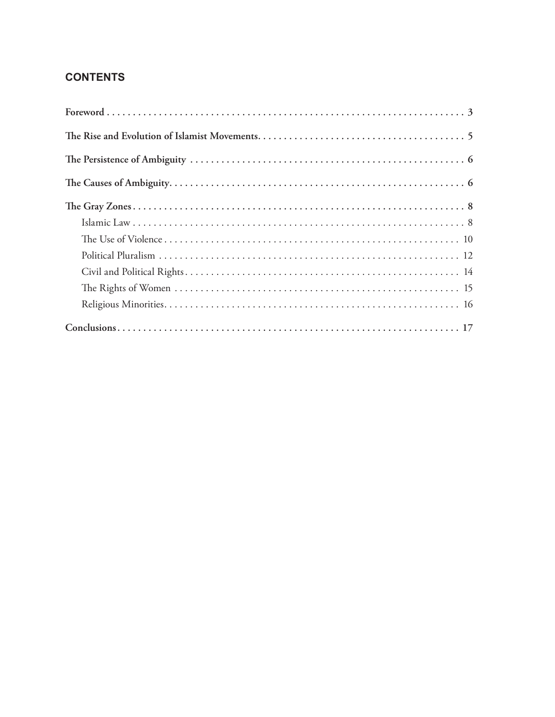# **CONTENTS**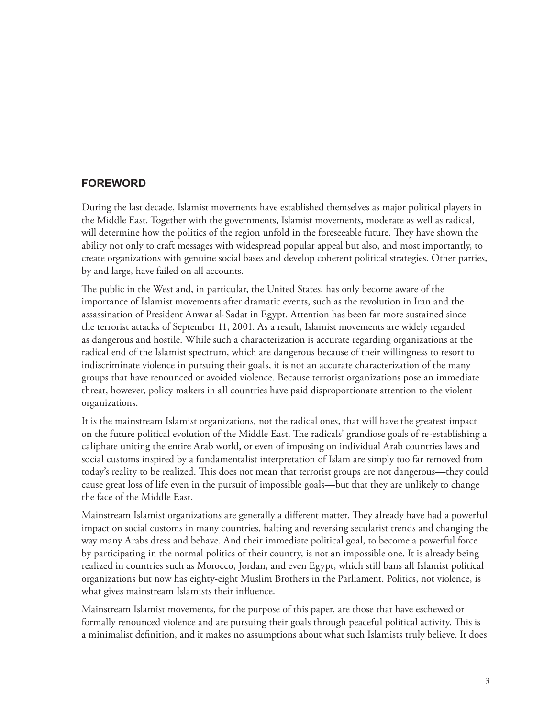# **FOREWORD**

During the last decade, Islamist movements have established themselves as major political players in the Middle East. Together with the governments, Islamist movements, moderate as well as radical, will determine how the politics of the region unfold in the foreseeable future. They have shown the ability not only to craft messages with widespread popular appeal but also, and most importantly, to create organizations with genuine social bases and develop coherent political strategies. Other parties, by and large, have failed on all accounts.

The public in the West and, in particular, the United States, has only become aware of the importance of Islamist movements after dramatic events, such as the revolution in Iran and the assassination of President Anwar al-Sadat in Egypt. Attention has been far more sustained since the terrorist attacks of September 11, 2001. As a result, Islamist movements are widely regarded as dangerous and hostile. While such a characterization is accurate regarding organizations at the radical end of the Islamist spectrum, which are dangerous because of their willingness to resort to indiscriminate violence in pursuing their goals, it is not an accurate characterization of the many groups that have renounced or avoided violence. Because terrorist organizations pose an immediate threat, however, policy makers in all countries have paid disproportionate attention to the violent organizations.

It is the mainstream Islamist organizations, not the radical ones, that will have the greatest impact on the future political evolution of the Middle East. The radicals' grandiose goals of re-establishing a caliphate uniting the entire Arab world, or even of imposing on individual Arab countries laws and social customs inspired by a fundamentalist interpretation of Islam are simply too far removed from today's reality to be realized. This does not mean that terrorist groups are not dangerous—they could cause great loss of life even in the pursuit of impossible goals—but that they are unlikely to change the face of the Middle East.

Mainstream Islamist organizations are generally a different matter. They already have had a powerful impact on social customs in many countries, halting and reversing secularist trends and changing the way many Arabs dress and behave. And their immediate political goal, to become a powerful force by participating in the normal politics of their country, is not an impossible one. It is already being realized in countries such as Morocco, Jordan, and even Egypt, which still bans all Islamist political organizations but now has eighty-eight Muslim Brothers in the Parliament. Politics, not violence, is what gives mainstream Islamists their influence.

Mainstream Islamist movements, for the purpose of this paper, are those that have eschewed or formally renounced violence and are pursuing their goals through peaceful political activity. This is a minimalist definition, and it makes no assumptions about what such Islamists truly believe. It does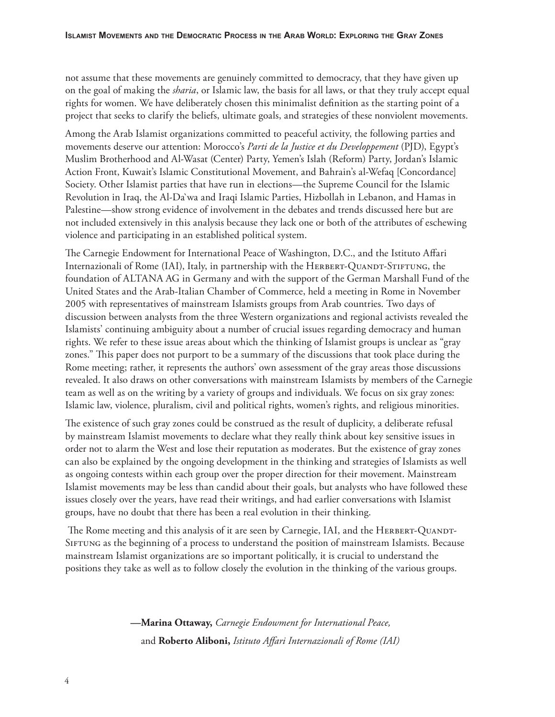not assume that these movements are genuinely committed to democracy, that they have given up on the goal of making the *sharia*, or Islamic law, the basis for all laws, or that they truly accept equal rights for women. We have deliberately chosen this minimalist definition as the starting point of a project that seeks to clarify the beliefs, ultimate goals, and strategies of these nonviolent movements.

Among the Arab Islamist organizations committed to peaceful activity, the following parties and movements deserve our attention: Morocco's *Parti de la Justice et du Developpement* (PJD), Egypt's Muslim Brotherhood and Al-Wasat (Center) Party, Yemen's Islah (Reform) Party, Jordan's Islamic Action Front, Kuwait's Islamic Constitutional Movement, and Bahrain's al-Wefaq [Concordance] Society. Other Islamist parties that have run in elections—the Supreme Council for the Islamic Revolution in Iraq, the Al-Da`wa and Iraqi Islamic Parties, Hizbollah in Lebanon, and Hamas in Palestine—show strong evidence of involvement in the debates and trends discussed here but are not included extensively in this analysis because they lack one or both of the attributes of eschewing violence and participating in an established political system.

The Carnegie Endowment for International Peace of Washington, D.C., and the Istituto Affari Internazionali of Rome (IAI), Italy, in partnership with the HERBERT-QUANDT-STIFTUNG, the foundation of ALTANA AG in Germany and with the support of the German Marshall Fund of the United States and the Arab-Italian Chamber of Commerce, held a meeting in Rome in November 2005 with representatives of mainstream Islamists groups from Arab countries. Two days of discussion between analysts from the three Western organizations and regional activists revealed the Islamists' continuing ambiguity about a number of crucial issues regarding democracy and human rights. We refer to these issue areas about which the thinking of Islamist groups is unclear as "gray zones." This paper does not purport to be a summary of the discussions that took place during the Rome meeting; rather, it represents the authors' own assessment of the gray areas those discussions revealed. It also draws on other conversations with mainstream Islamists by members of the Carnegie team as well as on the writing by a variety of groups and individuals. We focus on six gray zones: Islamic law, violence, pluralism, civil and political rights, women's rights, and religious minorities.

The existence of such gray zones could be construed as the result of duplicity, a deliberate refusal by mainstream Islamist movements to declare what they really think about key sensitive issues in order not to alarm the West and lose their reputation as moderates. But the existence of gray zones can also be explained by the ongoing development in the thinking and strategies of Islamists as well as ongoing contests within each group over the proper direction for their movement. Mainstream Islamist movements may be less than candid about their goals, but analysts who have followed these issues closely over the years, have read their writings, and had earlier conversations with Islamist groups, have no doubt that there has been a real evolution in their thinking.

The Rome meeting and this analysis of it are seen by Carnegie, IAI, and the HERBERT-QUANDT-Siftung as the beginning of a process to understand the position of mainstream Islamists. Because mainstream Islamist organizations are so important politically, it is crucial to understand the positions they take as well as to follow closely the evolution in the thinking of the various groups.

> **—Marina Ottaway,** *Carnegie Endowment for International Peace,*  and Roberto Aliboni, *Istituto Affari Internazionali of Rome* (IAI)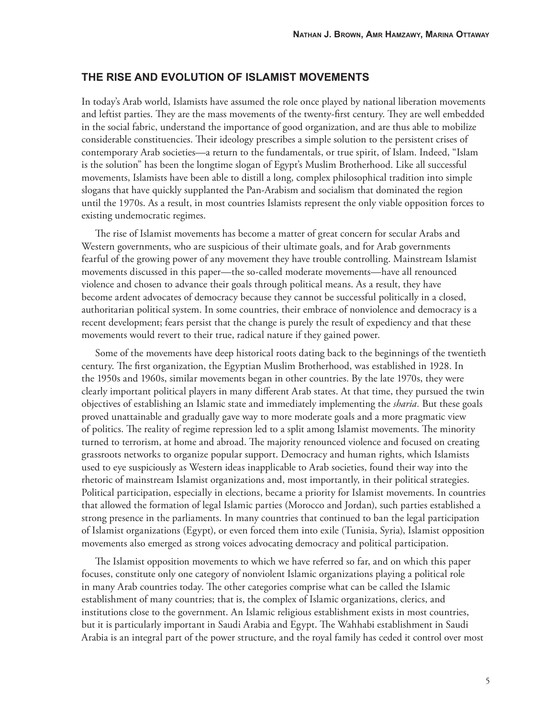# **THE RISE AND EVOLUTION OF ISLAMIST MOVEMENTS**

In today's Arab world, Islamists have assumed the role once played by national liberation movements and leftist parties. They are the mass movements of the twenty-first century. They are well embedded in the social fabric, understand the importance of good organization, and are thus able to mobilize considerable constituencies. Their ideology prescribes a simple solution to the persistent crises of contemporary Arab societies—a return to the fundamentals, or true spirit, of Islam. Indeed, "Islam is the solution" has been the longtime slogan of Egypt's Muslim Brotherhood. Like all successful movements, Islamists have been able to distill a long, complex philosophical tradition into simple slogans that have quickly supplanted the Pan-Arabism and socialism that dominated the region until the 1970s. As a result, in most countries Islamists represent the only viable opposition forces to existing undemocratic regimes.

The rise of Islamist movements has become a matter of great concern for secular Arabs and Western governments, who are suspicious of their ultimate goals, and for Arab governments fearful of the growing power of any movement they have trouble controlling. Mainstream Islamist movements discussed in this paper—the so-called moderate movements—have all renounced violence and chosen to advance their goals through political means. As a result, they have become ardent advocates of democracy because they cannot be successful politically in a closed, authoritarian political system. In some countries, their embrace of nonviolence and democracy is a recent development; fears persist that the change is purely the result of expediency and that these movements would revert to their true, radical nature if they gained power.

Some of the movements have deep historical roots dating back to the beginnings of the twentieth century. The first organization, the Egyptian Muslim Brotherhood, was established in 1928. In the 1950s and 1960s, similar movements began in other countries. By the late 1970s, they were clearly important political players in many different Arab states. At that time, they pursued the twin objectives of establishing an Islamic state and immediately implementing the *sharia.* But these goals proved unattainable and gradually gave way to more moderate goals and a more pragmatic view of politics. The reality of regime repression led to a split among Islamist movements. The minority turned to terrorism, at home and abroad. The majority renounced violence and focused on creating grassroots networks to organize popular support. Democracy and human rights, which Islamists used to eye suspiciously as Western ideas inapplicable to Arab societies, found their way into the rhetoric of mainstream Islamist organizations and, most importantly, in their political strategies. Political participation, especially in elections, became a priority for Islamist movements. In countries that allowed the formation of legal Islamic parties (Morocco and Jordan), such parties established a strong presence in the parliaments. In many countries that continued to ban the legal participation of Islamist organizations (Egypt), or even forced them into exile (Tunisia, Syria), Islamist opposition movements also emerged as strong voices advocating democracy and political participation.

The Islamist opposition movements to which we have referred so far, and on which this paper focuses, constitute only one category of nonviolent Islamic organizations playing a political role in many Arab countries today. The other categories comprise what can be called the Islamic establishment of many countries; that is, the complex of Islamic organizations, clerics, and institutions close to the government. An Islamic religious establishment exists in most countries, but it is particularly important in Saudi Arabia and Egypt. The Wahhabi establishment in Saudi Arabia is an integral part of the power structure, and the royal family has ceded it control over most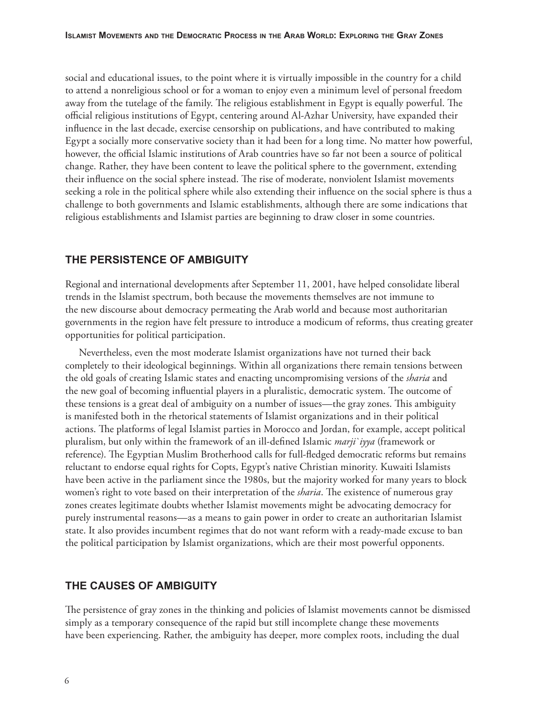social and educational issues, to the point where it is virtually impossible in the country for a child to attend a nonreligious school or for a woman to enjoy even a minimum level of personal freedom away from the tutelage of the family. The religious establishment in Egypt is equally powerful. The official religious institutions of Egypt, centering around Al-Azhar University, have expanded their influence in the last decade, exercise censorship on publications, and have contributed to making Egypt a socially more conservative society than it had been for a long time. No matter how powerful, however, the official Islamic institutions of Arab countries have so far not been a source of political change. Rather, they have been content to leave the political sphere to the government, extending their influence on the social sphere instead. The rise of moderate, nonviolent Islamist movements seeking a role in the political sphere while also extending their influence on the social sphere is thus a challenge to both governments and Islamic establishments, although there are some indications that religious establishments and Islamist parties are beginning to draw closer in some countries.

# **THE PERSISTENCE OF AMBIGUITY**

Regional and international developments after September 11, 2001, have helped consolidate liberal trends in the Islamist spectrum, both because the movements themselves are not immune to the new discourse about democracy permeating the Arab world and because most authoritarian governments in the region have felt pressure to introduce a modicum of reforms, thus creating greater opportunities for political participation.

Nevertheless, even the most moderate Islamist organizations have not turned their back completely to their ideological beginnings. Within all organizations there remain tensions between the old goals of creating Islamic states and enacting uncompromising versions of the *sharia* and the new goal of becoming influential players in a pluralistic, democratic system. The outcome of these tensions is a great deal of ambiguity on a number of issues—the gray zones. This ambiguity is manifested both in the rhetorical statements of Islamist organizations and in their political actions. The platforms of legal Islamist parties in Morocco and Jordan, for example, accept political pluralism, but only within the framework of an ill-defined Islamic *marji`iyya* (framework or reference). The Egyptian Muslim Brotherhood calls for full-fledged democratic reforms but remains reluctant to endorse equal rights for Copts, Egypt's native Christian minority. Kuwaiti Islamists have been active in the parliament since the 1980s, but the majority worked for many years to block women's right to vote based on their interpretation of the *sharia*. The existence of numerous gray zones creates legitimate doubts whether Islamist movements might be advocating democracy for purely instrumental reasons—as a means to gain power in order to create an authoritarian Islamist state. It also provides incumbent regimes that do not want reform with a ready-made excuse to ban the political participation by Islamist organizations, which are their most powerful opponents.

# **THE CAUSES OF AMBIGUITY**

The persistence of gray zones in the thinking and policies of Islamist movements cannot be dismissed simply as a temporary consequence of the rapid but still incomplete change these movements have been experiencing. Rather, the ambiguity has deeper, more complex roots, including the dual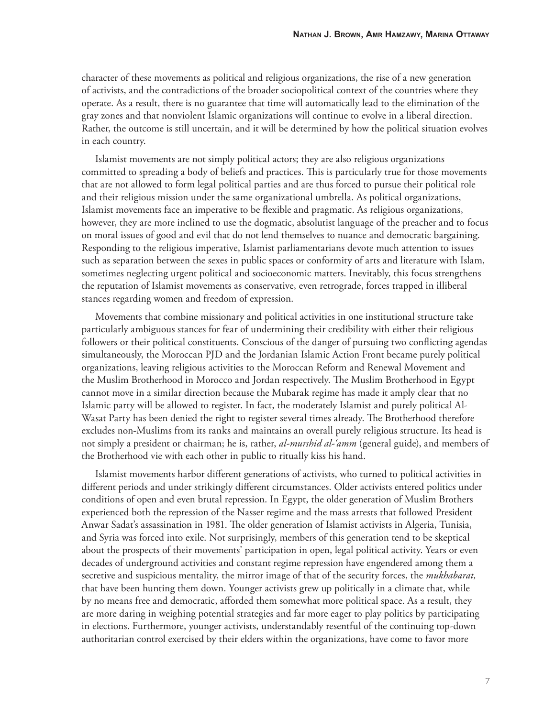character of these movements as political and religious organizations, the rise of a new generation of activists, and the contradictions of the broader sociopolitical context of the countries where they operate. As a result, there is no guarantee that time will automatically lead to the elimination of the gray zones and that nonviolent Islamic organizations will continue to evolve in a liberal direction. Rather, the outcome is still uncertain, and it will be determined by how the political situation evolves in each country.

Islamist movements are not simply political actors; they are also religious organizations committed to spreading a body of beliefs and practices. This is particularly true for those movements that are not allowed to form legal political parties and are thus forced to pursue their political role and their religious mission under the same organizational umbrella. As political organizations, Islamist movements face an imperative to be flexible and pragmatic. As religious organizations, however, they are more inclined to use the dogmatic, absolutist language of the preacher and to focus on moral issues of good and evil that do not lend themselves to nuance and democratic bargaining. Responding to the religious imperative, Islamist parliamentarians devote much attention to issues such as separation between the sexes in public spaces or conformity of arts and literature with Islam, sometimes neglecting urgent political and socioeconomic matters. Inevitably, this focus strengthens the reputation of Islamist movements as conservative, even retrograde, forces trapped in illiberal stances regarding women and freedom of expression.

Movements that combine missionary and political activities in one institutional structure take particularly ambiguous stances for fear of undermining their credibility with either their religious followers or their political constituents. Conscious of the danger of pursuing two conflicting agendas simultaneously, the Moroccan PJD and the Jordanian Islamic Action Front became purely political organizations, leaving religious activities to the Moroccan Reform and Renewal Movement and the Muslim Brotherhood in Morocco and Jordan respectively. The Muslim Brotherhood in Egypt cannot move in a similar direction because the Mubarak regime has made it amply clear that no Islamic party will be allowed to register. In fact, the moderately Islamist and purely political Al-Wasat Party has been denied the right to register several times already. The Brotherhood therefore excludes non-Muslims from its ranks and maintains an overall purely religious structure. Its head is not simply a president or chairman; he is, rather, *al-murshid al-'amm* (general guide), and members of the Brotherhood vie with each other in public to ritually kiss his hand.

Islamist movements harbor different generations of activists, who turned to political activities in different periods and under strikingly different circumstances. Older activists entered politics under conditions of open and even brutal repression. In Egypt, the older generation of Muslim Brothers experienced both the repression of the Nasser regime and the mass arrests that followed President Anwar Sadat's assassination in 1981. The older generation of Islamist activists in Algeria, Tunisia, and Syria was forced into exile. Not surprisingly, members of this generation tend to be skeptical about the prospects of their movements' participation in open, legal political activity. Years or even decades of underground activities and constant regime repression have engendered among them a secretive and suspicious mentality, the mirror image of that of the security forces, the *mukhabarat,* that have been hunting them down. Younger activists grew up politically in a climate that, while by no means free and democratic, afforded them somewhat more political space. As a result, they are more daring in weighing potential strategies and far more eager to play politics by participating in elections. Furthermore, younger activists, understandably resentful of the continuing top-down authoritarian control exercised by their elders within the organizations, have come to favor more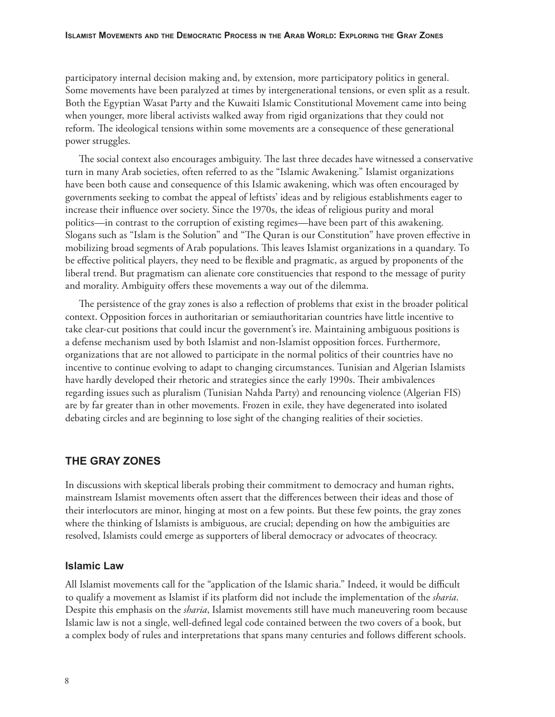participatory internal decision making and, by extension, more participatory politics in general. Some movements have been paralyzed at times by intergenerational tensions, or even split as a result. Both the Egyptian Wasat Party and the Kuwaiti Islamic Constitutional Movement came into being when younger, more liberal activists walked away from rigid organizations that they could not reform. The ideological tensions within some movements are a consequence of these generational power struggles.

The social context also encourages ambiguity. The last three decades have witnessed a conservative turn in many Arab societies, often referred to as the "Islamic Awakening." Islamist organizations have been both cause and consequence of this Islamic awakening, which was often encouraged by governments seeking to combat the appeal of leftists' ideas and by religious establishments eager to increase their influence over society. Since the 1970s, the ideas of religious purity and moral politics—in contrast to the corruption of existing regimes—have been part of this awakening. Slogans such as "Islam is the Solution" and "The Quran is our Constitution" have proven effective in mobilizing broad segments of Arab populations. This leaves Islamist organizations in a quandary. To be effective political players, they need to be flexible and pragmatic, as argued by proponents of the liberal trend. But pragmatism can alienate core constituencies that respond to the message of purity and morality. Ambiguity offers these movements a way out of the dilemma.

The persistence of the gray zones is also a reflection of problems that exist in the broader political context. Opposition forces in authoritarian or semiauthoritarian countries have little incentive to take clear-cut positions that could incur the government's ire. Maintaining ambiguous positions is a defense mechanism used by both Islamist and non-Islamist opposition forces. Furthermore, organizations that are not allowed to participate in the normal politics of their countries have no incentive to continue evolving to adapt to changing circumstances. Tunisian and Algerian Islamists have hardly developed their rhetoric and strategies since the early 1990s. Their ambivalences regarding issues such as pluralism (Tunisian Nahda Party) and renouncing violence (Algerian FIS) are by far greater than in other movements. Frozen in exile, they have degenerated into isolated debating circles and are beginning to lose sight of the changing realities of their societies.

# **THE GRAY ZONES**

In discussions with skeptical liberals probing their commitment to democracy and human rights, mainstream Islamist movements often assert that the differences between their ideas and those of their interlocutors are minor, hinging at most on a few points. But these few points, the gray zones where the thinking of Islamists is ambiguous, are crucial; depending on how the ambiguities are resolved, Islamists could emerge as supporters of liberal democracy or advocates of theocracy.

#### **Islamic Law**

All Islamist movements call for the "application of the Islamic sharia." Indeed, it would be difficult Islamic law is not a single, well-defined legal code contained between the two covers of a book, but to qualify a movement as Islamist if its platform did not include the implementation of the *sharia*. a complex body of rules and interpretations that spans many centuries and follows different schools. Despite this emphasis on the *sharia*, Islamist movements still have much maneuvering room because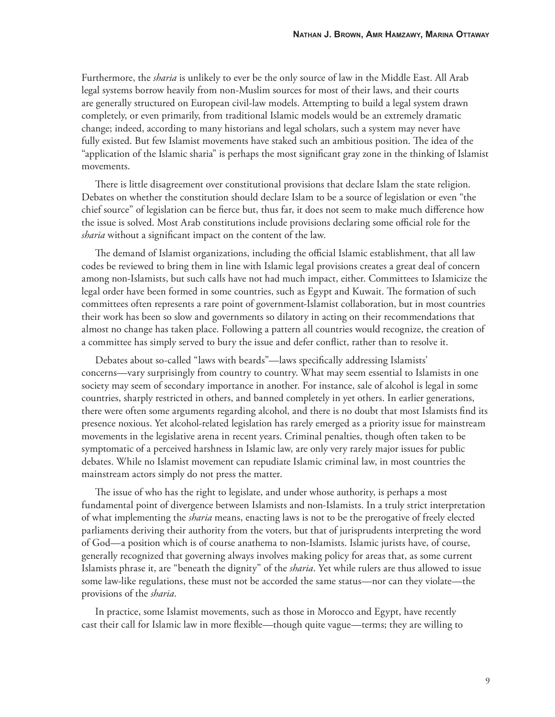Furthermore, the *sharia* is unlikely to ever be the only source of law in the Middle East. All Arab legal systems borrow heavily from non-Muslim sources for most of their laws, and their courts are generally structured on European civil-law models. Attempting to build a legal system drawn completely, or even primarily, from traditional Islamic models would be an extremely dramatic change; indeed, according to many historians and legal scholars, such a system may never have fully existed. But few Islamist movements have staked such an ambitious position. The idea of the "application of the Islamic sharia" is perhaps the most significant gray zone in the thinking of Islamist movements.

There is little disagreement over constitutional provisions that declare Islam the state religion. Debates on whether the constitution should declare Islam to be a source of legislation or even "the chief source" of legislation can be fierce but, thus far, it does not seem to make much difference how the issue is solved. Most Arab constitutions include provisions declaring some official role for the *sharia* without a significant impact on the content of the law.

The demand of Islamist organizations, including the official Islamic establishment, that all law codes be reviewed to bring them in line with Islamic legal provisions creates a great deal of concern among non-Islamists, but such calls have not had much impact, either. Committees to Islamicize the legal order have been formed in some countries, such as Egypt and Kuwait. The formation of such committees often represents a rare point of government-Islamist collaboration, but in most countries their work has been so slow and governments so dilatory in acting on their recommendations that almost no change has taken place. Following a pattern all countries would recognize, the creation of a committee has simply served to bury the issue and defer conflict, rather than to resolve it.

Debates about so-called "laws with beards"—laws specifically addressing Islamists' concerns—vary surprisingly from country to country. What may seem essential to Islamists in one society may seem of secondary importance in another. For instance, sale of alcohol is legal in some countries, sharply restricted in others, and banned completely in yet others. In earlier generations, there were often some arguments regarding alcohol, and there is no doubt that most Islamists find its presence noxious. Yet alcohol-related legislation has rarely emerged as a priority issue for mainstream movements in the legislative arena in recent years. Criminal penalties, though often taken to be symptomatic of a perceived harshness in Islamic law, are only very rarely major issues for public debates. While no Islamist movement can repudiate Islamic criminal law, in most countries the mainstream actors simply do not press the matter.

The issue of who has the right to legislate, and under whose authority, is perhaps a most fundamental point of divergence between Islamists and non-Islamists. In a truly strict interpretation of what implementing the *sharia* means, enacting laws is not to be the prerogative of freely elected parliaments deriving their authority from the voters, but that of jurisprudents interpreting the word of God—a position which is of course anathema to non-Islamists. Islamic jurists have, of course, generally recognized that governing always involves making policy for areas that, as some current Islamists phrase it, are "beneath the dignity" of the *sharia*. Yet while rulers are thus allowed to issue some law-like regulations, these must not be accorded the same status—nor can they violate—the provisions of the *sharia*.

In practice, some Islamist movements, such as those in Morocco and Egypt, have recently cast their call for Islamic law in more flexible—though quite vague—terms; they are willing to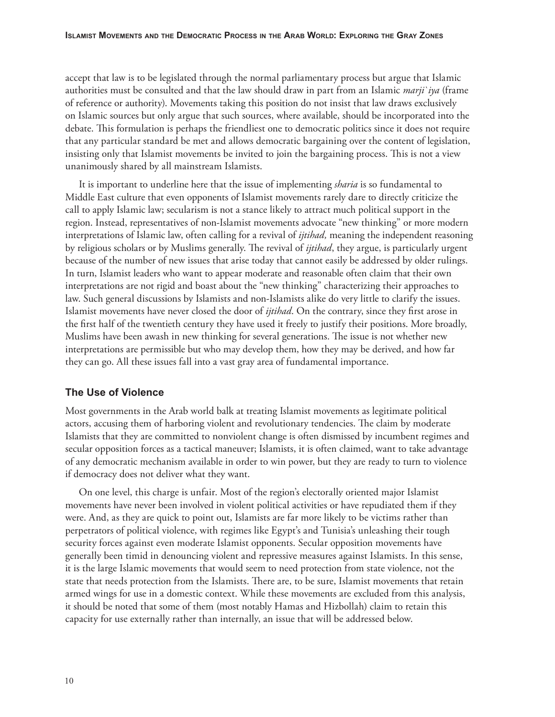accept that law is to be legislated through the normal parliamentary process but argue that Islamic authorities must be consulted and that the law should draw in part from an Islamic *marji`iya* (frame of reference or authority). Movements taking this position do not insist that law draws exclusively on Islamic sources but only argue that such sources, where available, should be incorporated into the debate. This formulation is perhaps the friendliest one to democratic politics since it does not require that any particular standard be met and allows democratic bargaining over the content of legislation, insisting only that Islamist movements be invited to join the bargaining process. This is not a view unanimously shared by all mainstream Islamists.

It is important to underline here that the issue of implementing *sharia* is so fundamental to Middle East culture that even opponents of Islamist movements rarely dare to directly criticize the call to apply Islamic law; secularism is not a stance likely to attract much political support in the region. Instead, representatives of non-Islamist movements advocate "new thinking" or more modern interpretations of Islamic law, often calling for a revival of *ijtihad,* meaning the independent reasoning by religious scholars or by Muslims generally. The revival of *ijtihad*, they argue, is particularly urgent because of the number of new issues that arise today that cannot easily be addressed by older rulings. In turn, Islamist leaders who want to appear moderate and reasonable often claim that their own interpretations are not rigid and boast about the "new thinking" characterizing their approaches to law. Such general discussions by Islamists and non-Islamists alike do very little to clarify the issues. Islamist movements have never closed the door of *ijtihad*. On the contrary, since they first arose in the first half of the twentieth century they have used it freely to justify their positions. More broadly, Muslims have been awash in new thinking for several generations. The issue is not whether new interpretations are permissible but who may develop them, how they may be derived, and how far they can go. All these issues fall into a vast gray area of fundamental importance.

# **The Use of Violence**

Most governments in the Arab world balk at treating Islamist movements as legitimate political actors, accusing them of harboring violent and revolutionary tendencies. The claim by moderate Islamists that they are committed to nonviolent change is often dismissed by incumbent regimes and secular opposition forces as a tactical maneuver; Islamists, it is often claimed, want to take advantage of any democratic mechanism available in order to win power, but they are ready to turn to violence if democracy does not deliver what they want.

On one level, this charge is unfair. Most of the region's electorally oriented major Islamist movements have never been involved in violent political activities or have repudiated them if they were. And, as they are quick to point out, Islamists are far more likely to be victims rather than perpetrators of political violence, with regimes like Egypt's and Tunisia's unleashing their tough security forces against even moderate Islamist opponents. Secular opposition movements have generally been timid in denouncing violent and repressive measures against Islamists. In this sense, it is the large Islamic movements that would seem to need protection from state violence, not the state that needs protection from the Islamists. There are, to be sure, Islamist movements that retain armed wings for use in a domestic context. While these movements are excluded from this analysis, it should be noted that some of them (most notably Hamas and Hizbollah) claim to retain this capacity for use externally rather than internally, an issue that will be addressed below.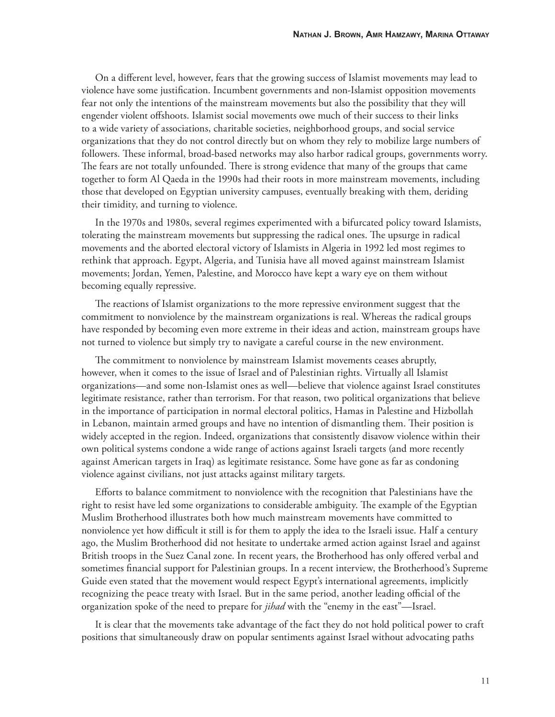On a different level, however, fears that the growing success of Islamist movements may lead to violence have some justification. Incumbent governments and non-Islamist opposition movements fear not only the intentions of the mainstream movements but also the possibility that they will engender violent offshoots. Islamist social movements owe much of their success to their links to a wide variety of associations, charitable societies, neighborhood groups, and social service organizations that they do not control directly but on whom they rely to mobilize large numbers of followers. These informal, broad-based networks may also harbor radical groups, governments worry. The fears are not totally unfounded. There is strong evidence that many of the groups that came together to form Al Qaeda in the 1990s had their roots in more mainstream movements, including those that developed on Egyptian university campuses, eventually breaking with them, deriding their timidity, and turning to violence.

In the 1970s and 1980s, several regimes experimented with a bifurcated policy toward Islamists, tolerating the mainstream movements but suppressing the radical ones. The upsurge in radical movements and the aborted electoral victory of Islamists in Algeria in 1992 led most regimes to rethink that approach. Egypt, Algeria, and Tunisia have all moved against mainstream Islamist movements; Jordan, Yemen, Palestine, and Morocco have kept a wary eye on them without becoming equally repressive.

The reactions of Islamist organizations to the more repressive environment suggest that the commitment to nonviolence by the mainstream organizations is real. Whereas the radical groups have responded by becoming even more extreme in their ideas and action, mainstream groups have not turned to violence but simply try to navigate a careful course in the new environment.

The commitment to nonviolence by mainstream Islamist movements ceases abruptly, however, when it comes to the issue of Israel and of Palestinian rights. Virtually all Islamist organizations—and some non-Islamist ones as well—believe that violence against Israel constitutes legitimate resistance, rather than terrorism. For that reason, two political organizations that believe in the importance of participation in normal electoral politics, Hamas in Palestine and Hizbollah in Lebanon, maintain armed groups and have no intention of dismantling them. Their position is widely accepted in the region. Indeed, organizations that consistently disavow violence within their own political systems condone a wide range of actions against Israeli targets (and more recently against American targets in Iraq) as legitimate resistance. Some have gone as far as condoning violence against civilians, not just attacks against military targets.

Efforts to balance commitment to nonviolence with the recognition that Palestinians have the right to resist have led some organizations to considerable ambiguity. The example of the Egyptian Muslim Brotherhood illustrates both how much mainstream movements have committed to nonviolence yet how difficult it still is for them to apply the idea to the Israeli issue. Half a century ago, the Muslim Brotherhood did not hesitate to undertake armed action against Israel and against British troops in the Suez Canal zone. In recent years, the Brotherhood has only offered verbal and sometimes financial support for Palestinian groups. In a recent interview, the Brotherhood's Supreme Guide even stated that the movement would respect Egypt's international agreements, implicitly recognizing the peace treaty with Israel. But in the same period, another leading official of the organization spoke of the need to prepare for *jihad* with the "enemy in the east"—Israel.

It is clear that the movements take advantage of the fact they do not hold political power to craft positions that simultaneously draw on popular sentiments against Israel without advocating paths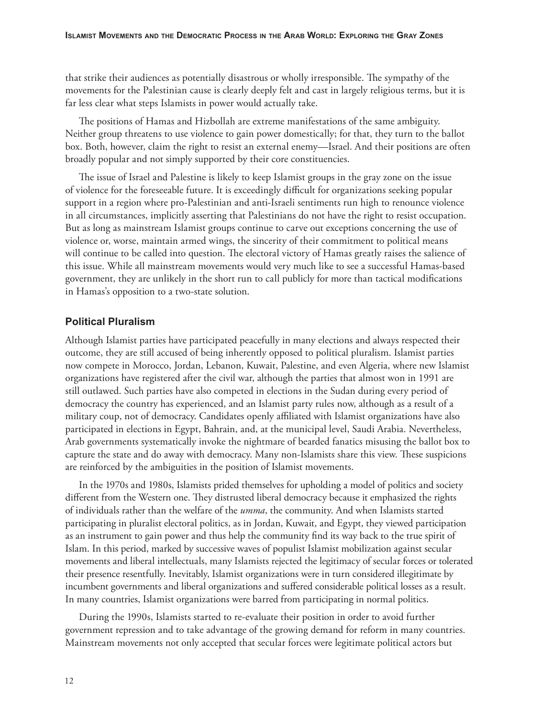that strike their audiences as potentially disastrous or wholly irresponsible. The sympathy of the movements for the Palestinian cause is clearly deeply felt and cast in largely religious terms, but it is far less clear what steps Islamists in power would actually take.

The positions of Hamas and Hizbollah are extreme manifestations of the same ambiguity. Neither group threatens to use violence to gain power domestically; for that, they turn to the ballot box. Both, however, claim the right to resist an external enemy—Israel. And their positions are often broadly popular and not simply supported by their core constituencies.

The issue of Israel and Palestine is likely to keep Islamist groups in the gray zone on the issue of violence for the foreseeable future. It is exceedingly difficult for organizations seeking popular support in a region where pro-Palestinian and anti-Israeli sentiments run high to renounce violence in all circumstances, implicitly asserting that Palestinians do not have the right to resist occupation. But as long as mainstream Islamist groups continue to carve out exceptions concerning the use of violence or, worse, maintain armed wings, the sincerity of their commitment to political means will continue to be called into question. The electoral victory of Hamas greatly raises the salience of this issue. While all mainstream movements would very much like to see a successful Hamas-based government, they are unlikely in the short run to call publicly for more than tactical modifications in Hamas's opposition to a two-state solution.

# **Political Pluralism**

Although Islamist parties have participated peacefully in many elections and always respected their outcome, they are still accused of being inherently opposed to political pluralism. Islamist parties now compete in Morocco, Jordan, Lebanon, Kuwait, Palestine, and even Algeria, where new Islamist organizations have registered after the civil war, although the parties that almost won in 1991 are still outlawed. Such parties have also competed in elections in the Sudan during every period of democracy the country has experienced, and an Islamist party rules now, although as a result of a military coup, not of democracy. Candidates openly affiliated with Islamist organizations have also participated in elections in Egypt, Bahrain, and, at the municipal level, Saudi Arabia. Nevertheless, Arab governments systematically invoke the nightmare of bearded fanatics misusing the ballot box to capture the state and do away with democracy. Many non-Islamists share this view. These suspicions are reinforced by the ambiguities in the position of Islamist movements.

In the 1970s and 1980s, Islamists prided themselves for upholding a model of politics and society different from the Western one. They distrusted liberal democracy because it emphasized the rights of individuals rather than the welfare of the *umma*, the community. And when Islamists started participating in pluralist electoral politics, as in Jordan, Kuwait, and Egypt, they viewed participation as an instrument to gain power and thus help the community find its way back to the true spirit of Islam. In this period, marked by successive waves of populist Islamist mobilization against secular movements and liberal intellectuals, many Islamists rejected the legitimacy of secular forces or tolerated their presence resentfully. Inevitably, Islamist organizations were in turn considered illegitimate by incumbent governments and liberal organizations and suffered considerable political losses as a result. In many countries, Islamist organizations were barred from participating in normal politics.

During the 1990s, Islamists started to re-evaluate their position in order to avoid further government repression and to take advantage of the growing demand for reform in many countries. Mainstream movements not only accepted that secular forces were legitimate political actors but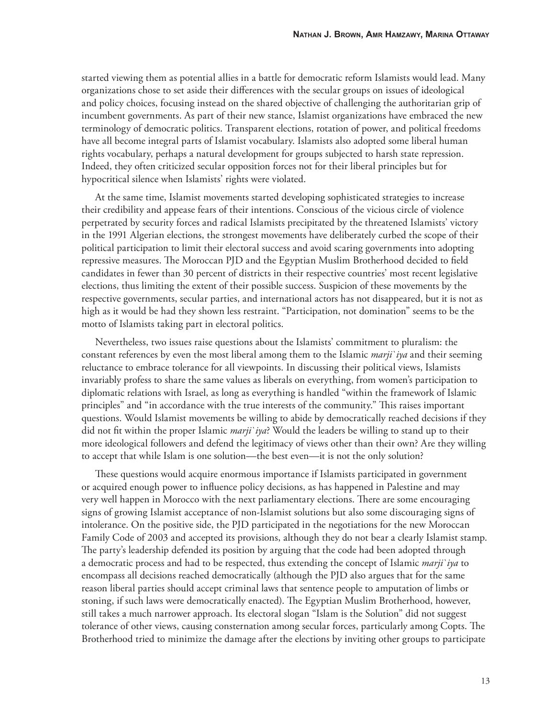started viewing them as potential allies in a battle for democratic reform Islamists would lead. Many organizations chose to set aside their differences with the secular groups on issues of ideological and policy choices, focusing instead on the shared objective of challenging the authoritarian grip of incumbent governments. As part of their new stance, Islamist organizations have embraced the new terminology of democratic politics. Transparent elections, rotation of power, and political freedoms have all become integral parts of Islamist vocabulary. Islamists also adopted some liberal human rights vocabulary, perhaps a natural development for groups subjected to harsh state repression. Indeed, they often criticized secular opposition forces not for their liberal principles but for hypocritical silence when Islamists' rights were violated.

At the same time, Islamist movements started developing sophisticated strategies to increase their credibility and appease fears of their intentions. Conscious of the vicious circle of violence perpetrated by security forces and radical Islamists precipitated by the threatened Islamists' victory in the 1991 Algerian elections, the strongest movements have deliberately curbed the scope of their political participation to limit their electoral success and avoid scaring governments into adopting repressive measures. The Moroccan PJD and the Egyptian Muslim Brotherhood decided to field candidates in fewer than 30 percent of districts in their respective countries' most recent legislative elections, thus limiting the extent of their possible success. Suspicion of these movements by the respective governments, secular parties, and international actors has not disappeared, but it is not as high as it would be had they shown less restraint. "Participation, not domination" seems to be the motto of Islamists taking part in electoral politics.

Nevertheless, two issues raise questions about the Islamists' commitment to pluralism: the constant references by even the most liberal among them to the Islamic *marji`iya* and their seeming reluctance to embrace tolerance for all viewpoints. In discussing their political views, Islamists invariably profess to share the same values as liberals on everything, from women's participation to diplomatic relations with Israel, as long as everything is handled "within the framework of Islamic principles" and "in accordance with the true interests of the community." This raises important questions. Would Islamist movements be willing to abide by democratically reached decisions if they did not fi t within the proper Islamic *marji`iya*? Would the leaders be willing to stand up to their more ideological followers and defend the legitimacy of views other than their own? Are they willing to accept that while Islam is one solution—the best even—it is not the only solution?

These questions would acquire enormous importance if Islamists participated in government or acquired enough power to influence policy decisions, as has happened in Palestine and may very well happen in Morocco with the next parliamentary elections. There are some encouraging signs of growing Islamist acceptance of non-Islamist solutions but also some discouraging signs of intolerance. On the positive side, the PJD participated in the negotiations for the new Moroccan Family Code of 2003 and accepted its provisions, although they do not bear a clearly Islamist stamp. The party's leadership defended its position by arguing that the code had been adopted through a democratic process and had to be respected, thus extending the concept of Islamic *marji`iya* to encompass all decisions reached democratically (although the PJD also argues that for the same reason liberal parties should accept criminal laws that sentence people to amputation of limbs or stoning, if such laws were democratically enacted). The Egyptian Muslim Brotherhood, however, still takes a much narrower approach. Its electoral slogan "Islam is the Solution" did not suggest tolerance of other views, causing consternation among secular forces, particularly among Copts. The Brotherhood tried to minimize the damage after the elections by inviting other groups to participate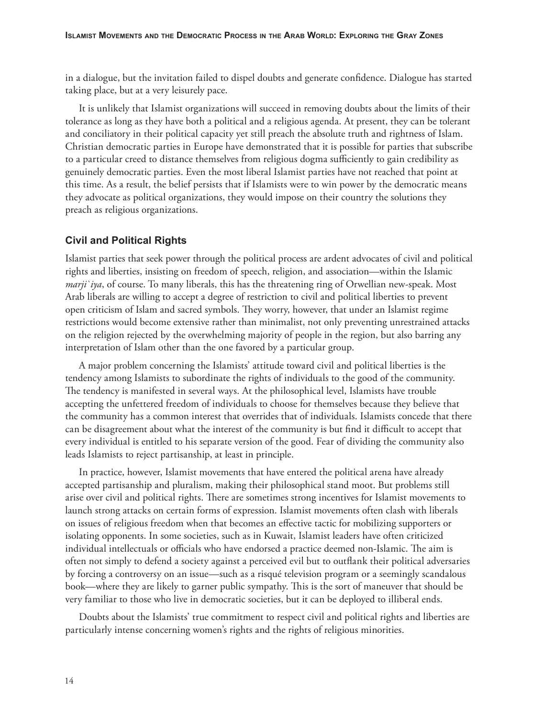in a dialogue, but the invitation failed to dispel doubts and generate confidence. Dialogue has started taking place, but at a very leisurely pace.

It is unlikely that Islamist organizations will succeed in removing doubts about the limits of their tolerance as long as they have both a political and a religious agenda. At present, they can be tolerant and conciliatory in their political capacity yet still preach the absolute truth and rightness of Islam. Christian democratic parties in Europe have demonstrated that it is possible for parties that subscribe to a particular creed to distance themselves from religious dogma sufficiently to gain credibility as genuinely democratic parties. Even the most liberal Islamist parties have not reached that point at this time. As a result, the belief persists that if Islamists were to win power by the democratic means they advocate as political organizations, they would impose on their country the solutions they preach as religious organizations.

#### **Civil and Political Rights**

Islamist parties that seek power through the political process are ardent advocates of civil and political rights and liberties, insisting on freedom of speech, religion, and association—within the Islamic *marji`iya*, of course. To many liberals, this has the threatening ring of Orwellian new-speak. Most Arab liberals are willing to accept a degree of restriction to civil and political liberties to prevent open criticism of Islam and sacred symbols. They worry, however, that under an Islamist regime restrictions would become extensive rather than minimalist, not only preventing unrestrained attacks on the religion rejected by the overwhelming majority of people in the region, but also barring any interpretation of Islam other than the one favored by a particular group.

A major problem concerning the Islamists' attitude toward civil and political liberties is the tendency among Islamists to subordinate the rights of individuals to the good of the community. The tendency is manifested in several ways. At the philosophical level, Islamists have trouble accepting the unfettered freedom of individuals to choose for themselves because they believe that the community has a common interest that overrides that of individuals. Islamists concede that there can be disagreement about what the interest of the community is but find it difficult to accept that every individual is entitled to his separate version of the good. Fear of dividing the community also leads Islamists to reject partisanship, at least in principle.

In practice, however, Islamist movements that have entered the political arena have already accepted partisanship and pluralism, making their philosophical stand moot. But problems still arise over civil and political rights. There are sometimes strong incentives for Islamist movements to launch strong attacks on certain forms of expression. Islamist movements often clash with liberals on issues of religious freedom when that becomes an effective tactic for mobilizing supporters or isolating opponents. In some societies, such as in Kuwait, Islamist leaders have often criticized individual intellectuals or officials who have endorsed a practice deemed non-Islamic. The aim is often not simply to defend a society against a perceived evil but to outflank their political adversaries by forcing a controversy on an issue—such as a risqué television program or a seemingly scandalous book—where they are likely to garner public sympathy. This is the sort of maneuver that should be very familiar to those who live in democratic societies, but it can be deployed to illiberal ends.

Doubts about the Islamists' true commitment to respect civil and political rights and liberties are particularly intense concerning women's rights and the rights of religious minorities.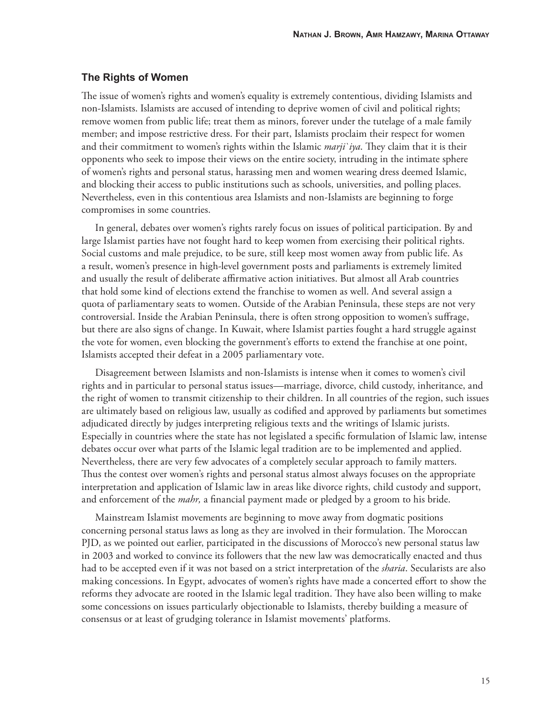#### **The Rights of Women**

The issue of women's rights and women's equality is extremely contentious, dividing Islamists and non-Islamists. Islamists are accused of intending to deprive women of civil and political rights; remove women from public life; treat them as minors, forever under the tutelage of a male family member; and impose restrictive dress. For their part, Islamists proclaim their respect for women and their commitment to women's rights within the Islamic *marji'iya*. They claim that it is their opponents who seek to impose their views on the entire society, intruding in the intimate sphere of women's rights and personal status, harassing men and women wearing dress deemed Islamic, and blocking their access to public institutions such as schools, universities, and polling places. Nevertheless, even in this contentious area Islamists and non-Islamists are beginning to forge compromises in some countries.

In general, debates over women's rights rarely focus on issues of political participation. By and large Islamist parties have not fought hard to keep women from exercising their political rights. Social customs and male prejudice, to be sure, still keep most women away from public life. As a result, women's presence in high-level government posts and parliaments is extremely limited and usually the result of deliberate affirmative action initiatives. But almost all Arab countries that hold some kind of elections extend the franchise to women as well. And several assign a quota of parliamentary seats to women. Outside of the Arabian Peninsula, these steps are not very controversial. Inside the Arabian Peninsula, there is often strong opposition to women's suffrage, but there are also signs of change. In Kuwait, where Islamist parties fought a hard struggle against the vote for women, even blocking the government's efforts to extend the franchise at one point, Islamists accepted their defeat in a 2005 parliamentary vote.

Disagreement between Islamists and non-Islamists is intense when it comes to women's civil rights and in particular to personal status issues—marriage, divorce, child custody, inheritance, and the right of women to transmit citizenship to their children. In all countries of the region, such issues are ultimately based on religious law, usually as codified and approved by parliaments but sometimes adjudicated directly by judges interpreting religious texts and the writings of Islamic jurists. Especially in countries where the state has not legislated a specific formulation of Islamic law, intense debates occur over what parts of the Islamic legal tradition are to be implemented and applied. Nevertheless, there are very few advocates of a completely secular approach to family matters. Thus the contest over women's rights and personal status almost always focuses on the appropriate interpretation and application of Islamic law in areas like divorce rights, child custody and support, and enforcement of the *mahr*, a financial payment made or pledged by a groom to his bride.

Mainstream Islamist movements are beginning to move away from dogmatic positions concerning personal status laws as long as they are involved in their formulation. The Moroccan PJD, as we pointed out earlier, participated in the discussions of Morocco's new personal status law in 2003 and worked to convince its followers that the new law was democratically enacted and thus had to be accepted even if it was not based on a strict interpretation of the *sharia*. Secularists are also making concessions. In Egypt, advocates of women's rights have made a concerted effort to show the reforms they advocate are rooted in the Islamic legal tradition. They have also been willing to make some concessions on issues particularly objectionable to Islamists, thereby building a measure of consensus or at least of grudging tolerance in Islamist movements' platforms.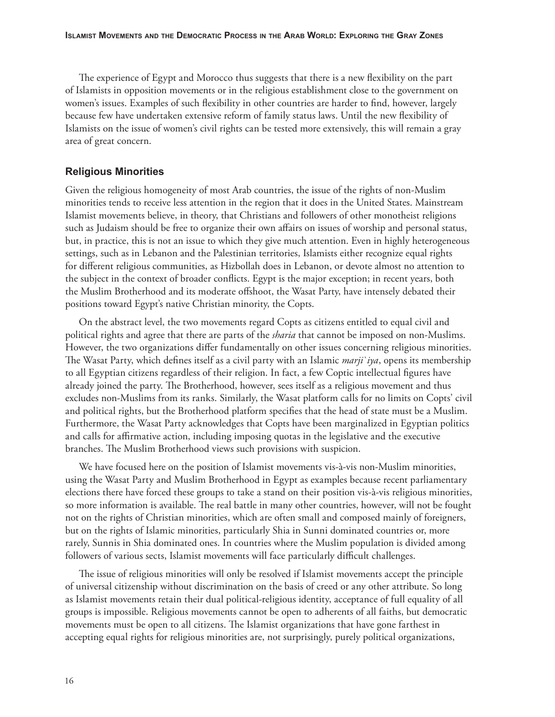The experience of Egypt and Morocco thus suggests that there is a new flexibility on the part of Islamists in opposition movements or in the religious establishment close to the government on women's issues. Examples of such flexibility in other countries are harder to find, however, largely because few have undertaken extensive reform of family status laws. Until the new flexibility of Islamists on the issue of women's civil rights can be tested more extensively, this will remain a gray area of great concern.

#### **Religious Minorities**

Given the religious homogeneity of most Arab countries, the issue of the rights of non-Muslim minorities tends to receive less attention in the region that it does in the United States. Mainstream Islamist movements believe, in theory, that Christians and followers of other monotheist religions such as Judaism should be free to organize their own affairs on issues of worship and personal status, but, in practice, this is not an issue to which they give much attention. Even in highly heterogeneous settings, such as in Lebanon and the Palestinian territories, Islamists either recognize equal rights for different religious communities, as Hizbollah does in Lebanon, or devote almost no attention to the subject in the context of broader conflicts. Egypt is the major exception; in recent years, both the Muslim Brotherhood and its moderate offshoot, the Wasat Party, have intensely debated their positions toward Egypt's native Christian minority, the Copts.

On the abstract level, the two movements regard Copts as citizens entitled to equal civil and political rights and agree that there are parts of the *sharia* that cannot be imposed on non-Muslims. However, the two organizations differ fundamentally on other issues concerning religious minorities. The Wasat Party, which defines itself as a civil party with an Islamic *marji`iya*, opens its membership to all Egyptian citizens regardless of their religion. In fact, a few Coptic intellectual figures have already joined the party. The Brotherhood, however, sees itself as a religious movement and thus excludes non-Muslims from its ranks. Similarly, the Wasat platform calls for no limits on Copts' civil and political rights, but the Brotherhood platform specifies that the head of state must be a Muslim. Furthermore, the Wasat Party acknowledges that Copts have been marginalized in Egyptian politics and calls for affirmative action, including imposing quotas in the legislative and the executive branches. The Muslim Brotherhood views such provisions with suspicion.

We have focused here on the position of Islamist movements vis-à-vis non-Muslim minorities, using the Wasat Party and Muslim Brotherhood in Egypt as examples because recent parliamentary elections there have forced these groups to take a stand on their position vis-à-vis religious minorities, so more information is available. The real battle in many other countries, however, will not be fought not on the rights of Christian minorities, which are often small and composed mainly of foreigners, but on the rights of Islamic minorities, particularly Shia in Sunni dominated countries or, more rarely, Sunnis in Shia dominated ones. In countries where the Muslim population is divided among followers of various sects, Islamist movements will face particularly difficult challenges.

The issue of religious minorities will only be resolved if Islamist movements accept the principle of universal citizenship without discrimination on the basis of creed or any other attribute. So long as Islamist movements retain their dual political-religious identity, acceptance of full equality of all groups is impossible. Religious movements cannot be open to adherents of all faiths, but democratic movements must be open to all citizens. The Islamist organizations that have gone farthest in accepting equal rights for religious minorities are, not surprisingly, purely political organizations,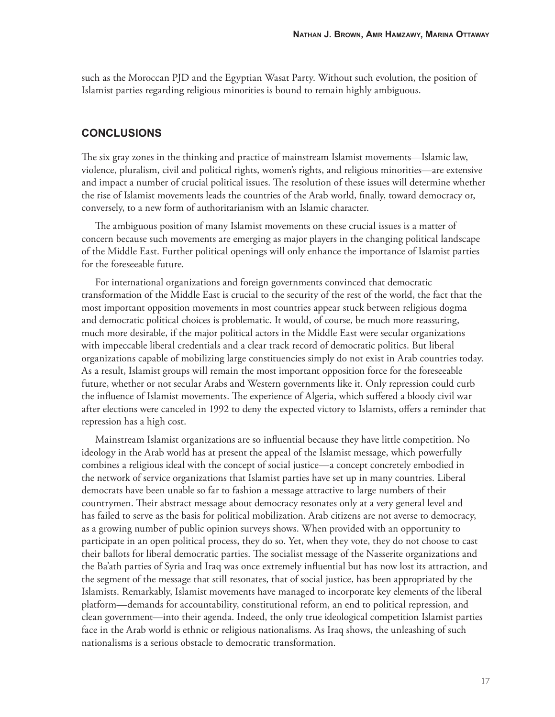such as the Moroccan PJD and the Egyptian Wasat Party. Without such evolution, the position of Islamist parties regarding religious minorities is bound to remain highly ambiguous.

# **CONCLUSIONS**

The six gray zones in the thinking and practice of mainstream Islamist movements—Islamic law, violence, pluralism, civil and political rights, women's rights, and religious minorities—are extensive and impact a number of crucial political issues. The resolution of these issues will determine whether the rise of Islamist movements leads the countries of the Arab world, finally, toward democracy or, conversely, to a new form of authoritarianism with an Islamic character.

The ambiguous position of many Islamist movements on these crucial issues is a matter of concern because such movements are emerging as major players in the changing political landscape of the Middle East. Further political openings will only enhance the importance of Islamist parties for the foreseeable future.

For international organizations and foreign governments convinced that democratic transformation of the Middle East is crucial to the security of the rest of the world, the fact that the most important opposition movements in most countries appear stuck between religious dogma and democratic political choices is problematic. It would, of course, be much more reassuring, much more desirable, if the major political actors in the Middle East were secular organizations with impeccable liberal credentials and a clear track record of democratic politics. But liberal organizations capable of mobilizing large constituencies simply do not exist in Arab countries today. As a result, Islamist groups will remain the most important opposition force for the foreseeable future, whether or not secular Arabs and Western governments like it. Only repression could curb the influence of Islamist movements. The experience of Algeria, which suffered a bloody civil war after elections were canceled in 1992 to deny the expected victory to Islamists, offers a reminder that repression has a high cost.

Mainstream Islamist organizations are so influential because they have little competition. No ideology in the Arab world has at present the appeal of the Islamist message, which powerfully combines a religious ideal with the concept of social justice—a concept concretely embodied in the network of service organizations that Islamist parties have set up in many countries. Liberal democrats have been unable so far to fashion a message attractive to large numbers of their countrymen. Their abstract message about democracy resonates only at a very general level and has failed to serve as the basis for political mobilization. Arab citizens are not averse to democracy, as a growing number of public opinion surveys shows. When provided with an opportunity to participate in an open political process, they do so. Yet, when they vote, they do not choose to cast their ballots for liberal democratic parties. The socialist message of the Nasserite organizations and the Ba'ath parties of Syria and Iraq was once extremely influential but has now lost its attraction, and the segment of the message that still resonates, that of social justice, has been appropriated by the Islamists. Remarkably, Islamist movements have managed to incorporate key elements of the liberal platform—demands for accountability, constitutional reform, an end to political repression, and clean government—into their agenda. Indeed, the only true ideological competition Islamist parties face in the Arab world is ethnic or religious nationalisms. As Iraq shows, the unleashing of such nationalisms is a serious obstacle to democratic transformation.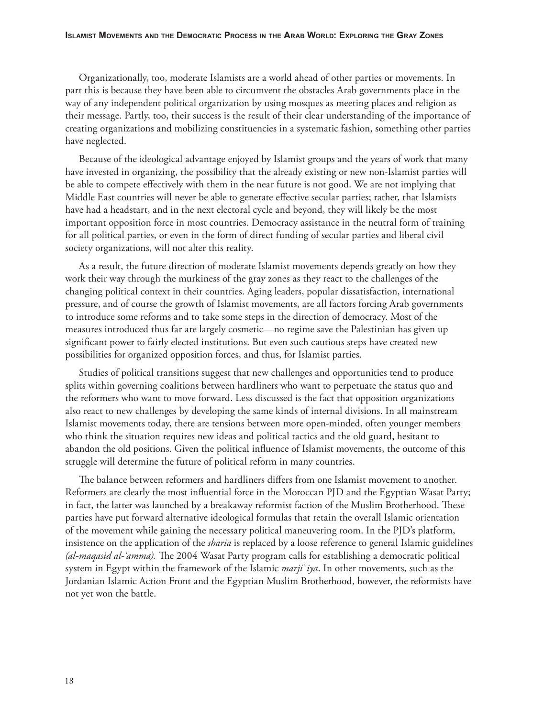Organizationally, too, moderate Islamists are a world ahead of other parties or movements. In part this is because they have been able to circumvent the obstacles Arab governments place in the way of any independent political organization by using mosques as meeting places and religion as their message. Partly, too, their success is the result of their clear understanding of the importance of creating organizations and mobilizing constituencies in a systematic fashion, something other parties have neglected.

Because of the ideological advantage enjoyed by Islamist groups and the years of work that many have invested in organizing, the possibility that the already existing or new non-Islamist parties will be able to compete effectively with them in the near future is not good. We are not implying that Middle East countries will never be able to generate effective secular parties; rather, that Islamists have had a headstart, and in the next electoral cycle and beyond, they will likely be the most important opposition force in most countries. Democracy assistance in the neutral form of training for all political parties, or even in the form of direct funding of secular parties and liberal civil society organizations, will not alter this reality.

As a result, the future direction of moderate Islamist movements depends greatly on how they work their way through the murkiness of the gray zones as they react to the challenges of the changing political context in their countries. Aging leaders, popular dissatisfaction, international pressure, and of course the growth of Islamist movements, are all factors forcing Arab governments to introduce some reforms and to take some steps in the direction of democracy. Most of the measures introduced thus far are largely cosmetic—no regime save the Palestinian has given up significant power to fairly elected institutions. But even such cautious steps have created new possibilities for organized opposition forces, and thus, for Islamist parties.

Studies of political transitions suggest that new challenges and opportunities tend to produce splits within governing coalitions between hardliners who want to perpetuate the status quo and the reformers who want to move forward. Less discussed is the fact that opposition organizations also react to new challenges by developing the same kinds of internal divisions. In all mainstream Islamist movements today, there are tensions between more open-minded, often younger members who think the situation requires new ideas and political tactics and the old guard, hesitant to abandon the old positions. Given the political influence of Islamist movements, the outcome of this struggle will determine the future of political reform in many countries.

The balance between reformers and hardliners differs from one Islamist movement to another. Reformers are clearly the most influential force in the Moroccan PJD and the Egyptian Wasat Party; in fact, the latter was launched by a breakaway reformist faction of the Muslim Brotherhood. These parties have put forward alternative ideological formulas that retain the overall Islamic orientation of the movement while gaining the necessary political maneuvering room. In the PJD's platform, insistence on the application of the *sharia* is replaced by a loose reference to general Islamic guidelines *(al-maqasid al-'amma)*. The 2004 Wasat Party program calls for establishing a democratic political system in Egypt within the framework of the Islamic *marji`iya*. In other movements, such as the Jordanian Islamic Action Front and the Egyptian Muslim Brotherhood, however, the reformists have not yet won the battle.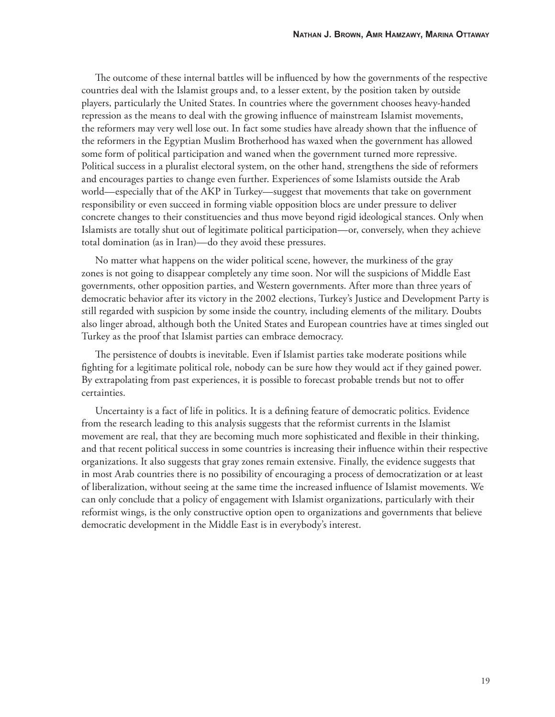The outcome of these internal battles will be influenced by how the governments of the respective countries deal with the Islamist groups and, to a lesser extent, by the position taken by outside players, particularly the United States. In countries where the government chooses heavy-handed repression as the means to deal with the growing influence of mainstream Islamist movements, the reformers may very well lose out. In fact some studies have already shown that the influence of the reformers in the Egyptian Muslim Brotherhood has waxed when the government has allowed some form of political participation and waned when the government turned more repressive. Political success in a pluralist electoral system, on the other hand, strengthens the side of reformers and encourages parties to change even further. Experiences of some Islamists outside the Arab world—especially that of the AKP in Turkey—suggest that movements that take on government responsibility or even succeed in forming viable opposition blocs are under pressure to deliver concrete changes to their constituencies and thus move beyond rigid ideological stances. Only when Islamists are totally shut out of legitimate political participation—or, conversely, when they achieve total domination (as in Iran)—do they avoid these pressures.

No matter what happens on the wider political scene, however, the murkiness of the gray zones is not going to disappear completely any time soon. Nor will the suspicions of Middle East governments, other opposition parties, and Western governments. After more than three years of democratic behavior after its victory in the 2002 elections, Turkey's Justice and Development Party is still regarded with suspicion by some inside the country, including elements of the military. Doubts also linger abroad, although both the United States and European countries have at times singled out Turkey as the proof that Islamist parties can embrace democracy.

The persistence of doubts is inevitable. Even if Islamist parties take moderate positions while fighting for a legitimate political role, nobody can be sure how they would act if they gained power. By extrapolating from past experiences, it is possible to forecast probable trends but not to offer certainties.

Uncertainty is a fact of life in politics. It is a defining feature of democratic politics. Evidence from the research leading to this analysis suggests that the reformist currents in the Islamist movement are real, that they are becoming much more sophisticated and flexible in their thinking, and that recent political success in some countries is increasing their influence within their respective organizations. It also suggests that gray zones remain extensive. Finally, the evidence suggests that in most Arab countries there is no possibility of encouraging a process of democratization or at least of liberalization, without seeing at the same time the increased infl uence of Islamist movements. We can only conclude that a policy of engagement with Islamist organizations, particularly with their reformist wings, is the only constructive option open to organizations and governments that believe democratic development in the Middle East is in everybody's interest.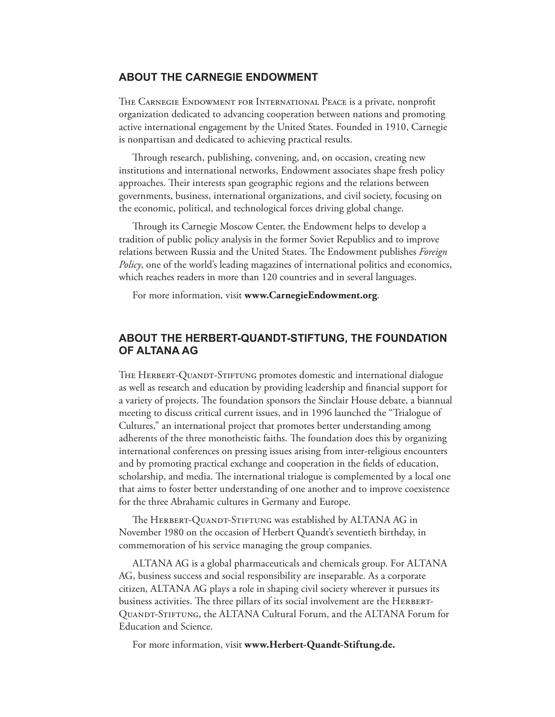# **ABOUT THE CARNEGIE ENDOWMENT**

THE CARNEGIE ENDOWMENT FOR INTERNATIONAL PEACE is a private, nonprofit organization dedicated to advancing cooperation between nations and promoting active international engagement by the United States. Founded in 1910, Carnegie is nonpartisan and dedicated to achieving practical results.

Through research, publishing, convening, and, on occasion, creating new institutions and international networks, Endowment associates shape fresh policy approaches. Their interests span geographic regions and the relations between governments, business, international organizations, and civil society, focusing on the economic, political, and technological forces driving global change.

Through its Carnegie Moscow Center, the Endowment helps to develop a tradition of public policy analysis in the former Soviet Republics and to improve relations between Russia and the United States. The Endowment publishes *Foreign Policy*, one of the world's leading magazines of international politics and economics, which reaches readers in more than 120 countries and in several languages.

For more information, visit **www.CarnegieEndowment.org**.

# **ABOUT THE HERBERT-QUANDT-STIFTUNG, THE FOUNDATION OF ALTANA AG**

THE HERBERT-QUANDT-STIFTUNG promotes domestic and international dialogue as well as research and education by providing leadership and financial support for a variety of projects. The foundation sponsors the Sinclair House debate, a biannual meeting to discuss critical current issues, and in 1996 launched the "Trialogue of Cultures," an international project that promotes better understanding among adherents of the three monotheistic faiths. The foundation does this by organizing international conferences on pressing issues arising from inter-religious encounters and by promoting practical exchange and cooperation in the fields of education, scholarship, and media. The international trialogue is complemented by a local one that aims to foster better understanding of one another and to improve coexistence for the three Abrahamic cultures in Germany and Europe.

The HERBERT-QUANDT-STIFTUNG was established by ALTANA AG in November 1980 on the occasion of Herbert Quandt's seventieth birthday, in commemoration of his service managing the group companies.

ALTANA AG is a global pharmaceuticals and chemicals group. For ALTANA AG, business success and social responsibility are inseparable. As a corporate citizen, ALTANA AG plays a role in shaping civil society wherever it pursues its business activities. The three pillars of its social involvement are the HERBERT-Quandt-Stiftung, the ALTANA Cultural Forum, and the ALTANA Forum for Education and Science.

For more information, visit **www.Herbert-Quandt-Stiftung.de.**